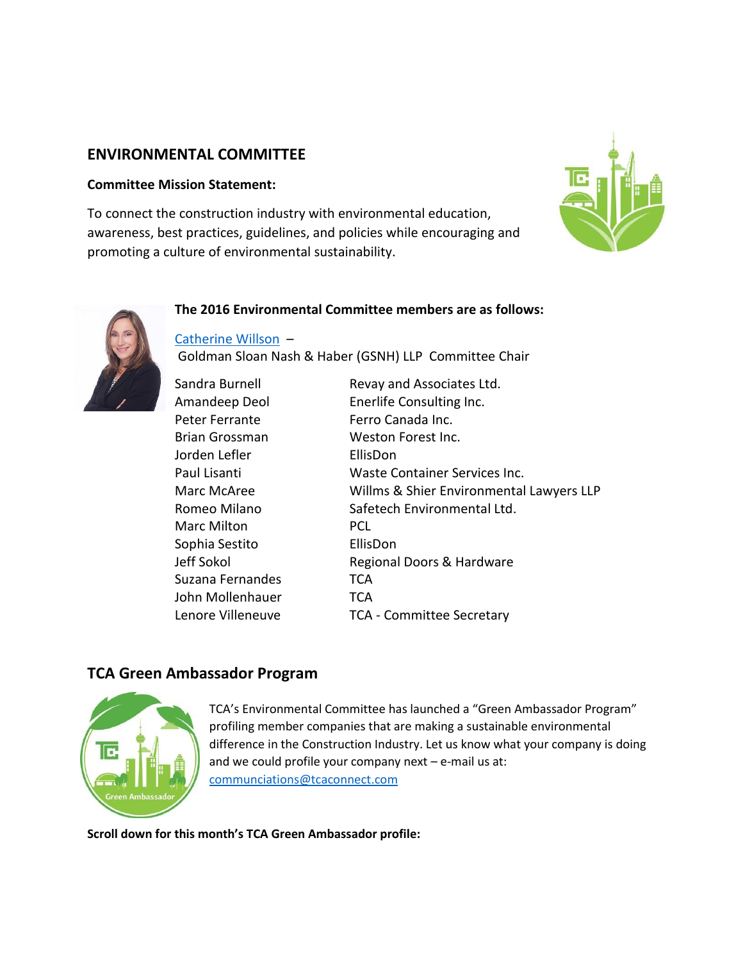# **ENVIRONMENTAL COMMITTEE**

### **Committee Mission Statement:**

To connect the construction industry with environmental education, awareness, best practices, guidelines, and policies while encouraging and promoting a culture of environmental sustainability.



### **The 2016 Environmental Committee members are as follows:**

[Catherine Willson](http://www.gsnh.com/people/catherine-willson/) –

Goldman Sloan Nash & Haber (GSNH) LLP Committee Chair

Peter Ferrante Ferro Canada Inc. Jorden Lefler EllisDon Marc Milton PCL Sophia Sestito EllisDon Suzana Fernandes TCA John Mollenhauer **TCA** 

Sandra Burnell Revay and Associates Ltd. Amandeep Deol Enerlife Consulting Inc. Brian Grossman Weston Forest Inc. Paul Lisanti Waste Container Services Inc. Marc McAree Willms & Shier Environmental Lawyers LLP Romeo Milano Safetech Environmental Ltd. Jeff Sokol **Regional Doors & Hardware** Lenore Villeneuve TCA - Committee Secretary

## **TCA Green Ambassador Program**



TCA's Environmental Committee has launched a "Green Ambassador Program" profiling member companies that are making a sustainable environmental difference in the Construction Industry. Let us know what your company is doing and we could profile your company next – e-mail us at: [communciations@tcaconnect.com](mailto:communciations@tcaconnect.com)

**Scroll down for this month's TCA Green Ambassador profile:**